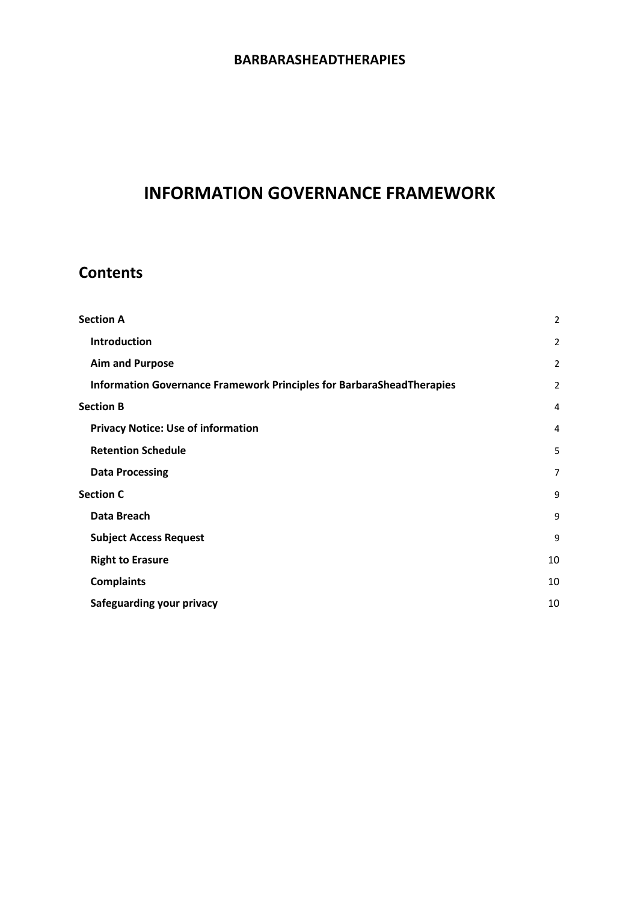# **INFORMATION GOVERNANCE FRAMEWORK**

# **Contents**

| $\overline{2}$ |
|----------------|
| $\overline{2}$ |
| 2              |
| 2              |
| $\overline{4}$ |
| $\overline{4}$ |
| 5              |
| $\overline{7}$ |
| 9              |
| 9              |
| 9              |
| 10             |
| 10             |
| 10             |
|                |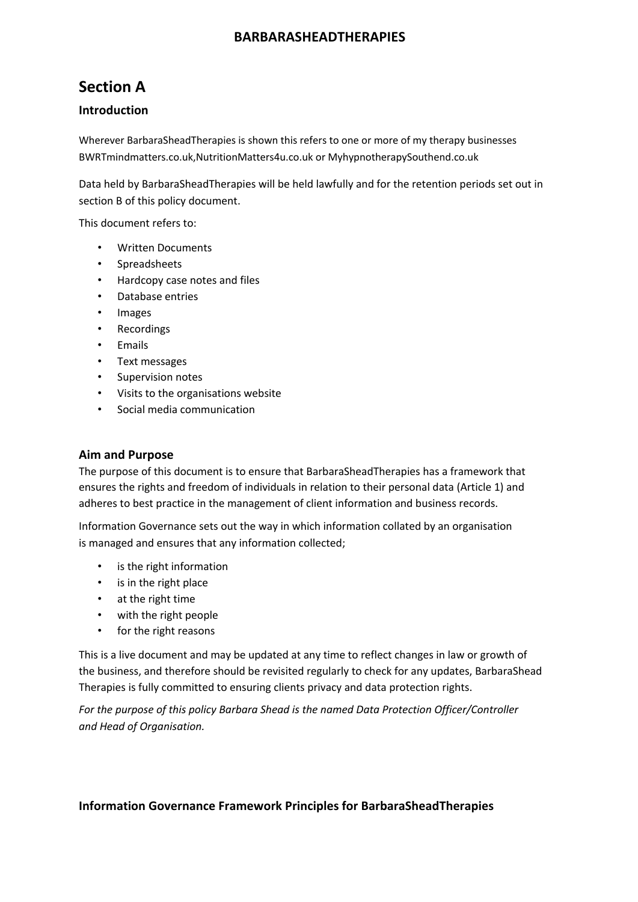# **Section A**

### **Introduction**

Wherever BarbaraSheadTherapies is shown this refers to one or more of my therapy businesses BWRTmindmatters.co.uk,NutritionMatters4u.co.uk or MyhypnotherapySouthend.co.uk

Data held by BarbaraSheadTherapies will be held lawfully and for the retention periods set out in section B of this policy document.

This document refers to:

- Written Documents
- **Spreadsheets**
- Hardcopy case notes and files
- Database entries
- **Images**
- Recordings
- Emails
- Text messages
- Supervision notes
- Visits to the organisations website
- Social media communication

#### **Aim and Purpose**

The purpose of this document is to ensure that BarbaraSheadTherapies has a framework that ensures the rights and freedom of individuals in relation to their personal data (Article 1) and adheres to best practice in the management of client information and business records.

Information Governance sets out the way in which information collated by an organisation is managed and ensures that any information collected;

- is the right information
- is in the right place
- at the right time
- with the right people
- for the right reasons

This is a live document and may be updated at any time to reflect changes in law or growth of the business, and therefore should be revisited regularly to check for any updates, BarbaraShead Therapies is fully committed to ensuring clients privacy and data protection rights.

*For the purpose of this policy Barbara Shead is the named Data Protection Officer/Controller and Head of Organisation.*

#### **Information Governance Framework Principles for BarbaraSheadTherapies**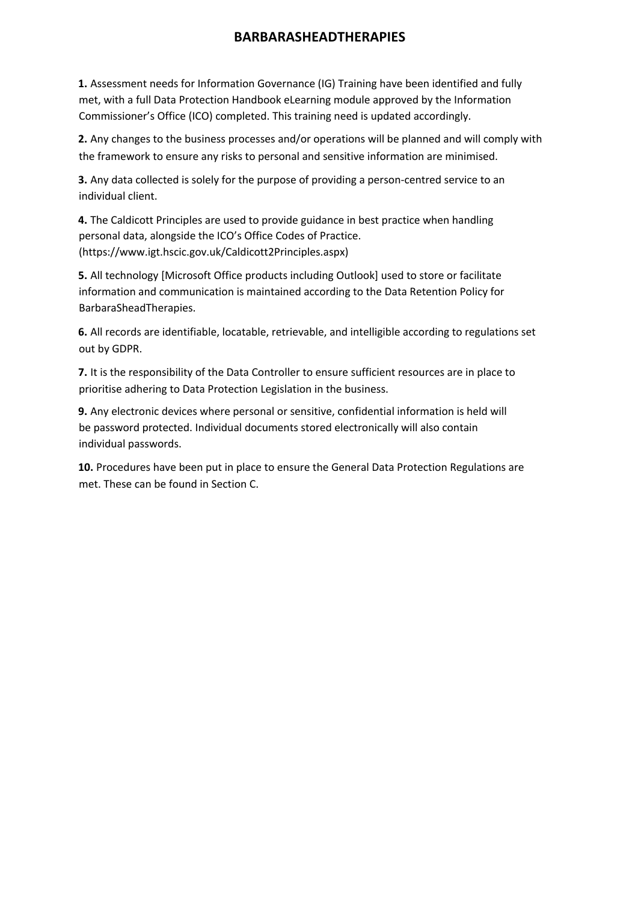**1.** Assessment needs for Information Governance (IG) Training have been identified and fully met, with a full Data Protection Handbook eLearning module approved by the Information Commissioner's Office (ICO) completed. This training need is updated accordingly.

**2.** Any changes to the business processes and/or operations will be planned and will comply with the framework to ensure any risks to personal and sensitive information are minimised.

**3.** Any data collected is solely for the purpose of providing a person-centred service to an individual client.

**4.** The Caldicott Principles are used to provide guidance in best practice when handling personal data, alongside the ICO's Office Codes of Practice. (https://www.igt.hscic.gov.uk/Caldicott2Principles.aspx)

**5.** All technology [Microsoft Office products including Outlook] used to store or facilitate information and communication is maintained according to the Data Retention Policy for BarbaraSheadTherapies.

**6.** All records are identifiable, locatable, retrievable, and intelligible according to regulations set out by GDPR.

**7.** It is the responsibility of the Data Controller to ensure sufficient resources are in place to prioritise adhering to Data Protection Legislation in the business.

**9.** Any electronic devices where personal or sensitive, confidential information is held will be password protected. Individual documents stored electronically will also contain individual passwords.

**10.** Procedures have been put in place to ensure the General Data Protection Regulations are met. These can be found in Section C.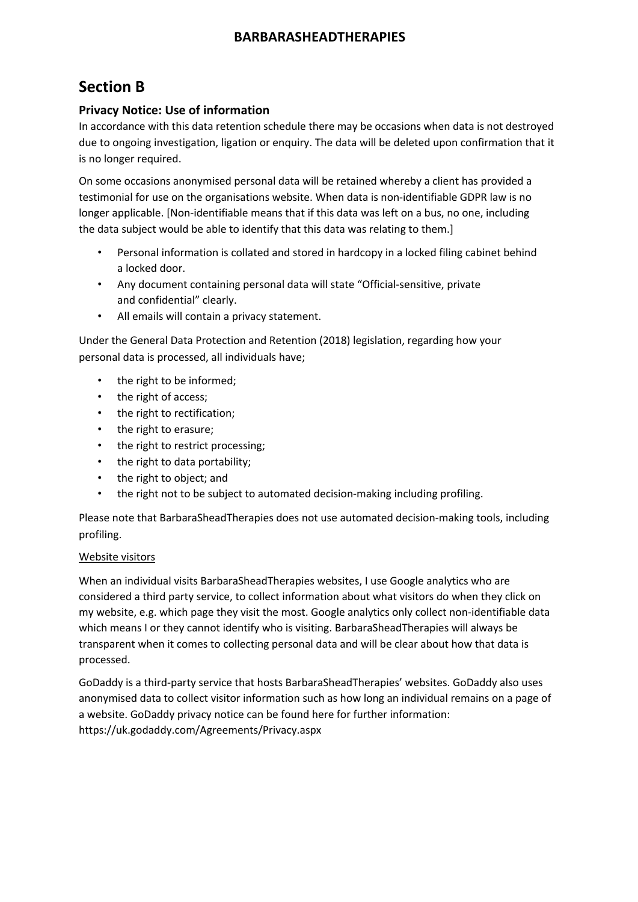# **Section B**

### **Privacy Notice: Use of information**

In accordance with this data retention schedule there may be occasions when data is not destroyed due to ongoing investigation, ligation or enquiry. The data will be deleted upon confirmation that it is no longer required.

On some occasions anonymised personal data will be retained whereby a client has provided a testimonial for use on the organisations website. When data is non-identifiable GDPR law is no longer applicable. [Non-identifiable means that if this data was left on a bus, no one, including the data subject would be able to identify that this data was relating to them.]

- Personal information is collated and stored in hardcopy in a locked filing cabinet behind a locked door.
- Any document containing personal data will state "Official-sensitive, private and confidential" clearly.
- All emails will contain a privacy statement.

Under the General Data Protection and Retention (2018) legislation, regarding how your personal data is processed, all individuals have;

- the right to be informed;
- the right of access;
- the right to rectification;
- the right to erasure;
- the right to restrict processing;
- the right to data portability;
- the right to object; and
- the right not to be subject to automated decision-making including profiling.

Please note that BarbaraSheadTherapies does not use automated decision-making tools, including profiling.

#### Website visitors

When an individual visits BarbaraSheadTherapies websites, I use Google analytics who are considered a third party service, to collect information about what visitors do when they click on my website, e.g. which page they visit the most. Google analytics only collect non-identifiable data which means I or they cannot identify who is visiting. BarbaraSheadTherapies will always be transparent when it comes to collecting personal data and will be clear about how that data is processed.

GoDaddy is a third-party service that hosts BarbaraSheadTherapies' websites. GoDaddy also uses anonymised data to collect visitor information such as how long an individual remains on a page of a website. GoDaddy privacy notice can be found here for further information: https://uk.godaddy.com/Agreements/Privacy.aspx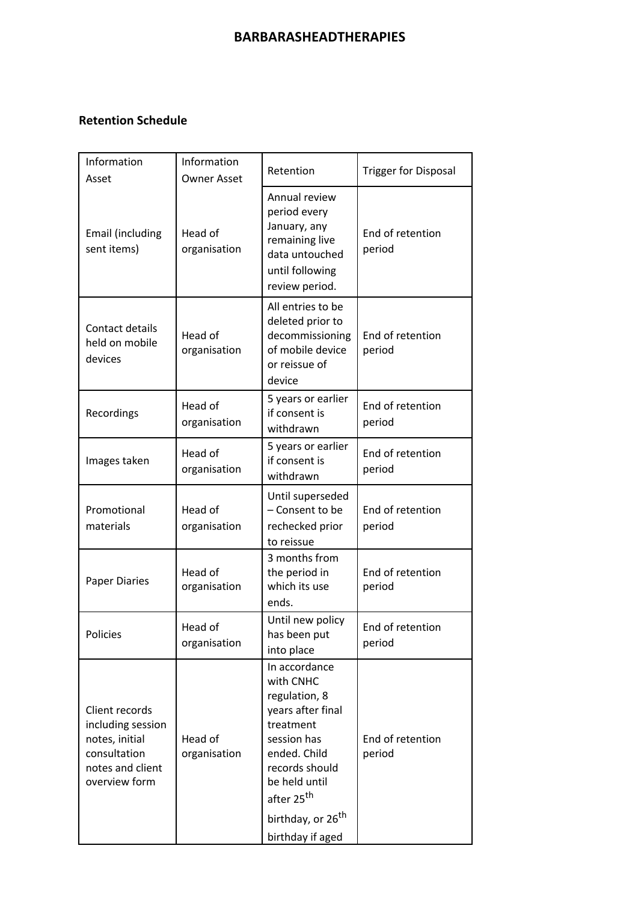# **Retention Schedule**

| Information<br>Asset                                                                                       | Information<br><b>Owner Asset</b> | Retention                                                                                                                                                                                                                      | <b>Trigger for Disposal</b> |
|------------------------------------------------------------------------------------------------------------|-----------------------------------|--------------------------------------------------------------------------------------------------------------------------------------------------------------------------------------------------------------------------------|-----------------------------|
| Email (including<br>sent items)                                                                            | Head of<br>organisation           | Annual review<br>period every<br>January, any<br>remaining live<br>data untouched<br>until following<br>review period.                                                                                                         | End of retention<br>period  |
| Contact details<br>held on mobile<br>devices                                                               | Head of<br>organisation           | All entries to be<br>deleted prior to<br>decommissioning<br>of mobile device<br>or reissue of<br>device                                                                                                                        | End of retention<br>period  |
| Recordings                                                                                                 | Head of<br>organisation           | 5 years or earlier<br>if consent is<br>withdrawn                                                                                                                                                                               | End of retention<br>period  |
| Images taken                                                                                               | Head of<br>organisation           | 5 years or earlier<br>if consent is<br>withdrawn                                                                                                                                                                               | End of retention<br>period  |
| Promotional<br>materials                                                                                   | Head of<br>organisation           | Until superseded<br>- Consent to be<br>rechecked prior<br>to reissue                                                                                                                                                           | End of retention<br>period  |
| <b>Paper Diaries</b>                                                                                       | Head of<br>organisation           | 3 months from<br>the period in<br>which its use<br>ends.                                                                                                                                                                       | End of retention<br>period  |
| Policies                                                                                                   | Head of<br>organisation           | Until new policy<br>has been put<br>into place                                                                                                                                                                                 | End of retention<br>period  |
| Client records<br>including session<br>notes, initial<br>consultation<br>notes and client<br>overview form | Head of<br>organisation           | In accordance<br>with CNHC<br>regulation, 8<br>years after final<br>treatment<br>session has<br>ended. Child<br>records should<br>be held until<br>after 25 <sup>th</sup><br>birthday, or 26 <sup>th</sup><br>birthday if aged | End of retention<br>period  |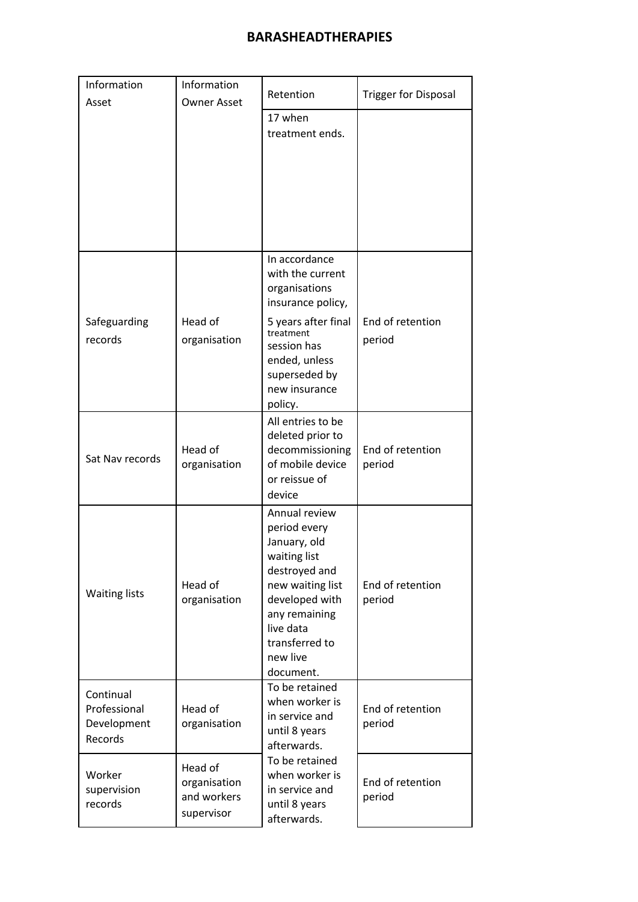| Information<br>Asset                                | Information<br><b>Owner Asset</b>                    | Retention                                                                                                                                                                                     | <b>Trigger for Disposal</b> |
|-----------------------------------------------------|------------------------------------------------------|-----------------------------------------------------------------------------------------------------------------------------------------------------------------------------------------------|-----------------------------|
|                                                     |                                                      | 17 when<br>treatment ends.                                                                                                                                                                    |                             |
|                                                     |                                                      |                                                                                                                                                                                               |                             |
|                                                     |                                                      | In accordance<br>with the current<br>organisations<br>insurance policy,                                                                                                                       |                             |
| Safeguarding<br>records                             | Head of<br>organisation                              | 5 years after final<br>treatment<br>session has<br>ended, unless<br>superseded by<br>new insurance<br>policy.                                                                                 | End of retention<br>period  |
| Sat Nav records                                     | Head of<br>organisation                              | All entries to be<br>deleted prior to<br>decommissioning<br>of mobile device<br>or reissue of<br>device                                                                                       | End of retention<br>period  |
| <b>Waiting lists</b>                                | Head of<br>organisation                              | Annual review<br>period every<br>January, old<br>waiting list<br>destroyed and<br>new waiting list<br>developed with<br>any remaining<br>live data<br>transferred to<br>new live<br>document. | End of retention<br>period  |
| Continual<br>Professional<br>Development<br>Records | Head of<br>organisation                              | To be retained<br>when worker is<br>in service and<br>until 8 years<br>afterwards.                                                                                                            | End of retention<br>period  |
| Worker<br>supervision<br>records                    | Head of<br>organisation<br>and workers<br>supervisor | To be retained<br>when worker is<br>in service and<br>until 8 years<br>afterwards.                                                                                                            | End of retention<br>period  |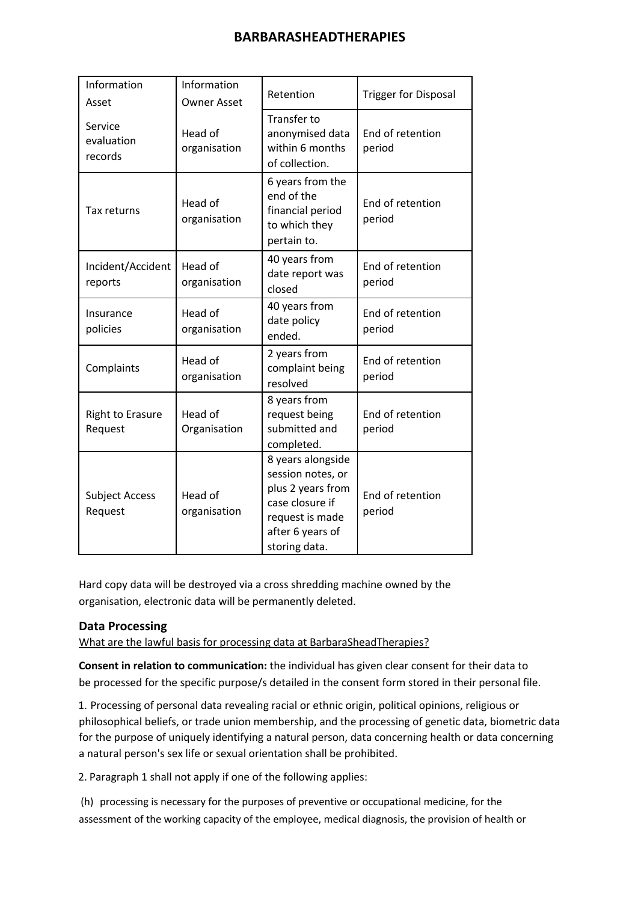| Information<br>Asset               | Information<br><b>Owner Asset</b> | Retention                                                                                                                              | <b>Trigger for Disposal</b> |
|------------------------------------|-----------------------------------|----------------------------------------------------------------------------------------------------------------------------------------|-----------------------------|
| Service<br>evaluation<br>records   | Head of<br>organisation           | <b>Transfer to</b><br>anonymised data<br>within 6 months<br>of collection.                                                             | End of retention<br>period  |
| Tax returns                        | Head of<br>organisation           | 6 years from the<br>end of the<br>financial period<br>to which they<br>pertain to.                                                     | End of retention<br>period  |
| Incident/Accident<br>reports       | Head of<br>organisation           | 40 years from<br>date report was<br>closed                                                                                             | End of retention<br>period  |
| Insurance<br>policies              | Head of<br>organisation           | 40 years from<br>date policy<br>ended.                                                                                                 | End of retention<br>period  |
| Complaints                         | Head of<br>organisation           | 2 years from<br>complaint being<br>resolved                                                                                            | End of retention<br>period  |
| <b>Right to Erasure</b><br>Request | Head of<br>Organisation           | 8 years from<br>request being<br>submitted and<br>completed.                                                                           | End of retention<br>period  |
| <b>Subject Access</b><br>Request   | Head of<br>organisation           | 8 years alongside<br>session notes, or<br>plus 2 years from<br>case closure if<br>request is made<br>after 6 years of<br>storing data. | End of retention<br>period  |

Hard copy data will be destroyed via a cross shredding machine owned by the organisation, electronic data will be permanently deleted.

#### **Data Processing**

What are the lawful basis for processing data at BarbaraSheadTherapies?

**Consent in relation to communication:** the individual has given clear consent for their data to be processed for the specific purpose/s detailed in the consent form stored in their personal file.

1. Processing of personal data revealing racial or ethnic origin, political opinions, religious or philosophical beliefs, or trade union membership, and the processing of genetic data, biometric data for the purpose of uniquely identifying a natural person, data concerning health or data concerning a natural person's sex life or sexual orientation shall be prohibited.

2. Paragraph 1 shall not apply if one of the following applies:

(h) processing is necessary for the purposes of preventive or occupational medicine, for the assessment of the working capacity of the employee, medical diagnosis, the provision of health or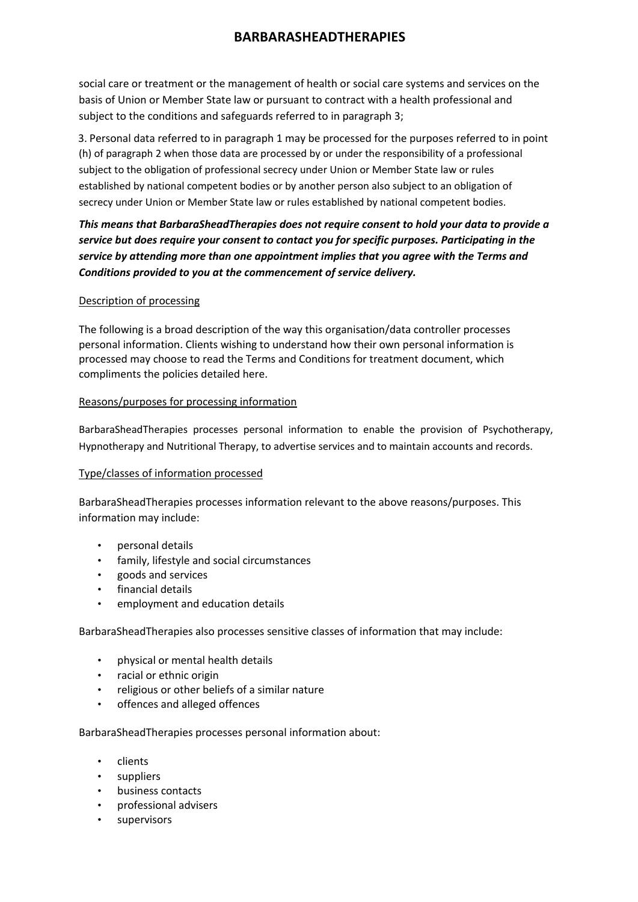social care or treatment or the management of health or social care systems and services on the basis of Union or Member State law or pursuant to contract with a health professional and subject to the conditions and safeguards referred to in paragraph 3;

3. Personal data referred to in paragraph 1 may be processed for the purposes referred to in point (h) of paragraph 2 when those data are processed by or under the responsibility of a professional subject to the obligation of professional secrecy under Union or Member State law or rules established by national competent bodies or by another person also subject to an obligation of secrecy under Union or Member State law or rules established by national competent bodies.

*This means that BarbaraSheadTherapies does not require consent to hold your data to provide a service but does require your consent to contact you for specific purposes. Participating in the service by attending more than one appointment implies that you agree with the Terms and Conditions provided to you at the commencement of service delivery.*

#### Description of processing

The following is a broad description of the way this organisation/data controller processes personal information. Clients wishing to understand how their own personal information is processed may choose to read the Terms and Conditions for treatment document, which compliments the policies detailed here.

#### Reasons/purposes for processing information

BarbaraSheadTherapies processes personal information to enable the provision of Psychotherapy, Hypnotherapy and Nutritional Therapy, to advertise services and to maintain accounts and records.

#### Type/classes of information processed

BarbaraSheadTherapies processes information relevant to the above reasons/purposes. This information may include:

- personal details
- family, lifestyle and social circumstances
- goods and services
- financial details
- employment and education details

BarbaraSheadTherapies also processes sensitive classes of information that may include:

- physical or mental health details
- racial or ethnic origin
- religious or other beliefs of a similar nature
- offences and alleged offences

BarbaraSheadTherapies processes personal information about:

- clients
- suppliers
- business contacts
- professional advisers
- supervisors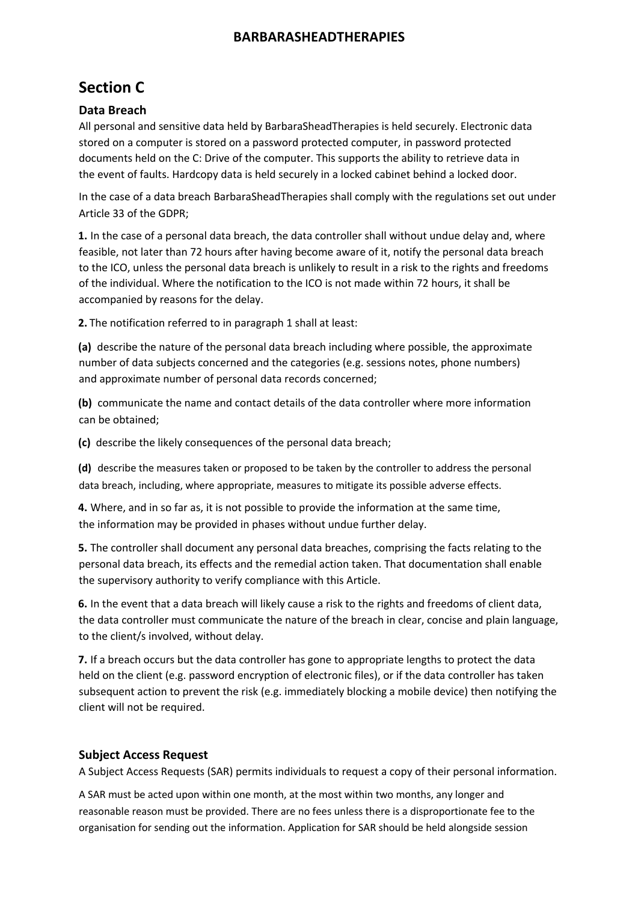# **Section C**

### **Data Breach**

All personal and sensitive data held by BarbaraSheadTherapies is held securely. Electronic data stored on a computer is stored on a password protected computer, in password protected documents held on the C: Drive of the computer. This supports the ability to retrieve data in the event of faults. Hardcopy data is held securely in a locked cabinet behind a locked door.

In the case of a data breach BarbaraSheadTherapies shall comply with the regulations set out under Article 33 of the GDPR;

**1.** In the case of a personal data breach, the data controller shall without undue delay and, where feasible, not later than 72 hours after having become aware of it, notify the personal data breach to the ICO, unless the personal data breach is unlikely to result in a risk to the rights and freedoms of the individual. Where the notification to the ICO is not made within 72 hours, it shall be accompanied by reasons for the delay.

**2.** The notification referred to in paragraph 1 shall at least:

**(a)** describe the nature of the personal data breach including where possible, the approximate number of data subjects concerned and the categories (e.g. sessions notes, phone numbers) and approximate number of personal data records concerned;

**(b)** communicate the name and contact details of the data controller where more information can be obtained;

**(c)** describe the likely consequences of the personal data breach;

**(d)** describe the measures taken or proposed to be taken by the controller to address the personal data breach, including, where appropriate, measures to mitigate its possible adverse effects.

**4.** Where, and in so far as, it is not possible to provide the information at the same time, the information may be provided in phases without undue further delay.

**5.** The controller shall document any personal data breaches, comprising the facts relating to the personal data breach, its effects and the remedial action taken. That documentation shall enable the supervisory authority to verify compliance with this Article.

**6.** In the event that a data breach will likely cause a risk to the rights and freedoms of client data, the data controller must communicate the nature of the breach in clear, concise and plain language, to the client/s involved, without delay.

**7.** If a breach occurs but the data controller has gone to appropriate lengths to protect the data held on the client (e.g. password encryption of electronic files), or if the data controller has taken subsequent action to prevent the risk (e.g. immediately blocking a mobile device) then notifying the client will not be required.

### **Subject Access Request**

A Subject Access Requests (SAR) permits individuals to request a copy of their personal information.

A SAR must be acted upon within one month, at the most within two months, any longer and reasonable reason must be provided. There are no fees unless there is a disproportionate fee to the organisation for sending out the information. Application for SAR should be held alongside session